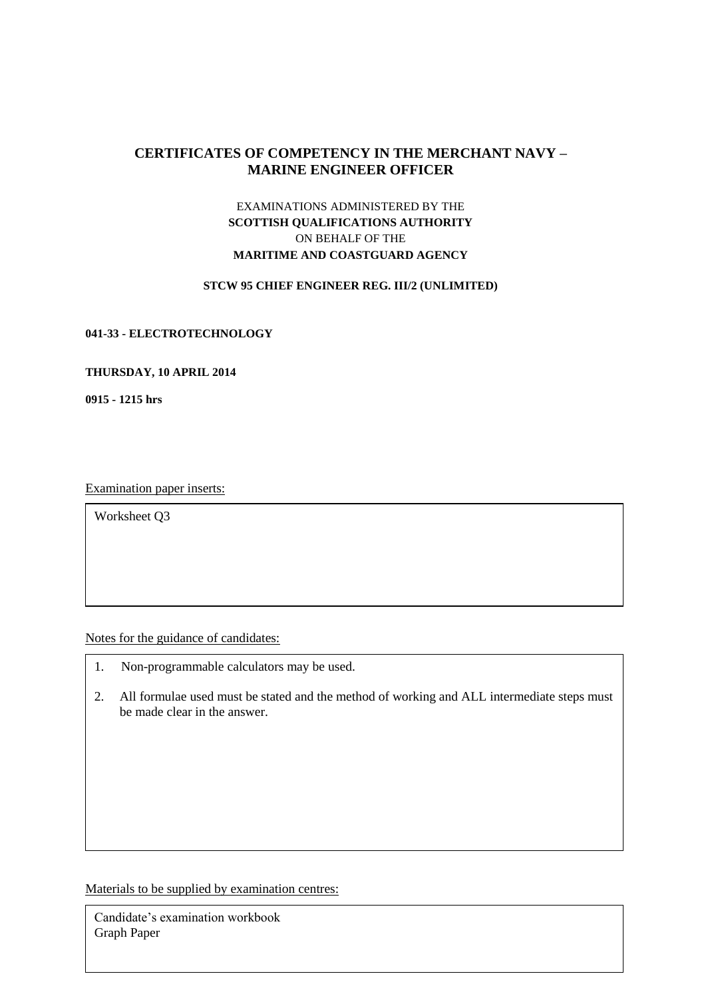# **CERTIFICATES OF COMPETENCY IN THE MERCHANT NAVY – MARINE ENGINEER OFFICER**

# EXAMINATIONS ADMINISTERED BY THE **SCOTTISH QUALIFICATIONS AUTHORITY** ON BEHALF OF THE **MARITIME AND COASTGUARD AGENCY**

## **STCW 95 CHIEF ENGINEER REG. III/2 (UNLIMITED)**

#### **041-33 - ELECTROTECHNOLOGY**

#### **THURSDAY, 10 APRIL 2014**

**0915 - 1215 hrs**

Examination paper inserts:

Worksheet Q3

Notes for the guidance of candidates:

- 1. Non-programmable calculators may be used.
- 2. All formulae used must be stated and the method of working and ALL intermediate steps must be made clear in the answer.

Materials to be supplied by examination centres:

Candidate's examination workbook Graph Paper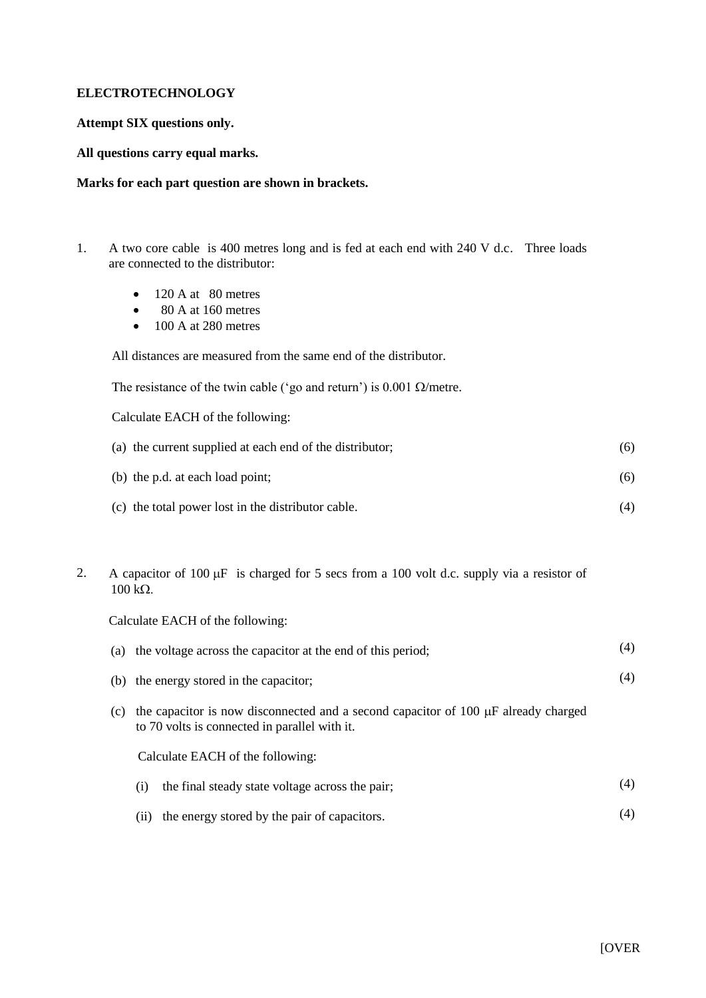## **ELECTROTECHNOLOGY**

## **Attempt SIX questions only.**

### **All questions carry equal marks.**

### **Marks for each part question are shown in brackets.**

- 1. A two core cable is 400 metres long and is fed at each end with 240 V d.c. Three loads are connected to the distributor:
	- $\bullet$  120 A at 80 metres
	- $\bullet$  80 A at 160 metres
	- $\bullet$  100 A at 280 metres

All distances are measured from the same end of the distributor.

The resistance of the twin cable ('go and return') is  $0.001 \Omega/m$ etre.

Calculate EACH of the following:

| (a) the current supplied at each end of the distributor; | (6) |
|----------------------------------------------------------|-----|
| (b) the p.d. at each load point;                         | (6) |
| (c) the total power lost in the distributor cable.       | (4) |

2. A capacitor of 100  $\mu$ F is charged for 5 secs from a 100 volt d.c. supply via a resistor of  $100 \text{ k}\Omega$ .

Calculate EACH of the following:

| (a) | the voltage across the capacitor at the end of this period;                                                                              | (4) |
|-----|------------------------------------------------------------------------------------------------------------------------------------------|-----|
|     | (b) the energy stored in the capacitor;                                                                                                  | (4) |
| (c) | the capacitor is now disconnected and a second capacitor of 100 $\mu$ F already charged<br>to 70 volts is connected in parallel with it. |     |
|     | Calculate EACH of the following:                                                                                                         |     |
|     | the final steady state voltage across the pair;<br>(i)                                                                                   | (4) |
|     | the energy stored by the pair of capacitors.<br>(11)                                                                                     | (4) |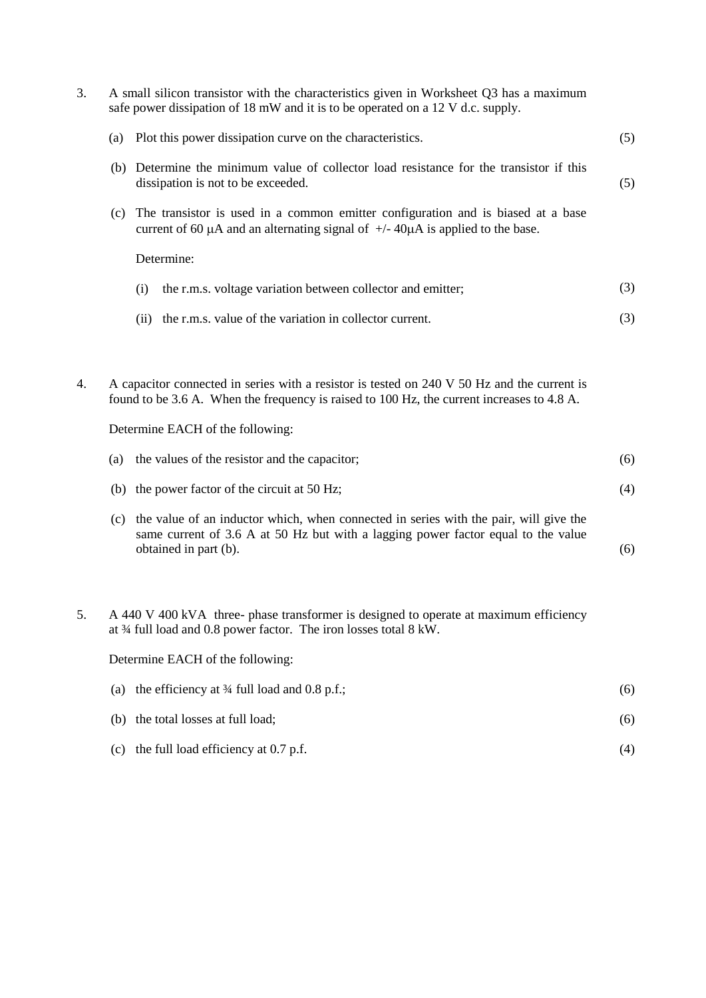| 3. | A small silicon transistor with the characteristics given in Worksheet Q3 has a maximum<br>safe power dissipation of 18 mW and it is to be operated on a 12 V d.c. supply. |                                                                                                                                                                                                                               |     |  |  |
|----|----------------------------------------------------------------------------------------------------------------------------------------------------------------------------|-------------------------------------------------------------------------------------------------------------------------------------------------------------------------------------------------------------------------------|-----|--|--|
|    | (a)                                                                                                                                                                        | Plot this power dissipation curve on the characteristics.                                                                                                                                                                     | (5) |  |  |
|    |                                                                                                                                                                            | (b) Determine the minimum value of collector load resistance for the transistor if this<br>dissipation is not to be exceeded.                                                                                                 | (5) |  |  |
|    | (c)                                                                                                                                                                        | The transistor is used in a common emitter configuration and is biased at a base<br>current of 60 $\mu$ A and an alternating signal of $+/- 40\mu$ A is applied to the base.                                                  |     |  |  |
|    |                                                                                                                                                                            | Determine:                                                                                                                                                                                                                    |     |  |  |
|    |                                                                                                                                                                            | (i)<br>the r.m.s. voltage variation between collector and emitter;                                                                                                                                                            | (3) |  |  |
|    |                                                                                                                                                                            | the r.m.s. value of the variation in collector current.<br>(ii)                                                                                                                                                               | (3) |  |  |
| 4. |                                                                                                                                                                            | A capacitor connected in series with a resistor is tested on 240 V 50 Hz and the current is<br>found to be 3.6 A. When the frequency is raised to 100 Hz, the current increases to 4.8 A.<br>Determine EACH of the following: |     |  |  |
|    | (a)                                                                                                                                                                        | the values of the resistor and the capacitor;                                                                                                                                                                                 | (6) |  |  |
|    |                                                                                                                                                                            | (b) the power factor of the circuit at 50 Hz;                                                                                                                                                                                 | (4) |  |  |
|    | (c)                                                                                                                                                                        | the value of an inductor which, when connected in series with the pair, will give the<br>same current of 3.6 A at 50 Hz but with a lagging power factor equal to the value<br>obtained in part (b).                           | (6) |  |  |
| 5. |                                                                                                                                                                            | A 440 V 400 kVA three- phase transformer is designed to operate at maximum efficiency<br>at 3⁄4 full load and 0.8 power factor. The iron losses total 8 kW.                                                                   |     |  |  |
|    |                                                                                                                                                                            | Determine EACH of the following:                                                                                                                                                                                              |     |  |  |
|    | (a)                                                                                                                                                                        | the efficiency at 3⁄4 full load and 0.8 p.f.;                                                                                                                                                                                 | (6) |  |  |
|    | (b)                                                                                                                                                                        | the total losses at full load;                                                                                                                                                                                                | (6) |  |  |
|    | (c)                                                                                                                                                                        | the full load efficiency at 0.7 p.f.                                                                                                                                                                                          | (4) |  |  |